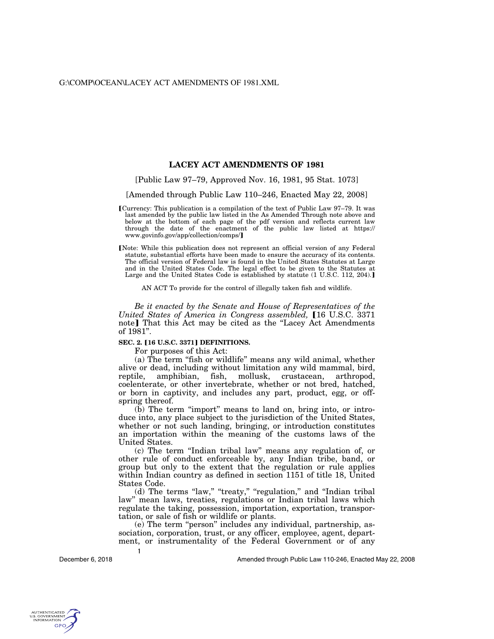# **LACEY ACT AMENDMENTS OF 1981**

## [Public Law 97–79, Approved Nov. 16, 1981, 95 Stat. 1073]

[Amended through Public Law 110–246, Enacted May 22, 2008]

[Currency: This publication is a compilation of the text of Public Law 97-79. It was last amended by the public law listed in the As Amended Through note above and below at the bottom of each page of the pdf version and reflects current law through the date of the enactment of the public law listed at https:// www.govinfo.gov/app/collection/comps/¿

[Note: While this publication does not represent an official version of any Federal statute, substantial efforts have been made to ensure the accuracy of its contents. The official version of Federal law is found in the United States Statutes at Large and in the United States Code. The legal effect to be given to the Statutes at Large and the United States Code is established by statute (1 U.S.C. 112, 204).]

AN ACT To provide for the control of illegally taken fish and wildlife.

*Be it enacted by the Senate and House of Representatives of the United States of America in Congress assembled,* [16 U.S.C. 3371 note] That this Act may be cited as the "Lacey Act Amendments of 1981''.

#### **SEC. 2. [16 U.S.C. 3371] DEFINITIONS.**

For purposes of this Act:

(a) The term "fish or wildlife" means any wild animal, whether alive or dead, including without limitation any wild mammal, bird, reptile, amphibian, fish, mollusk, crustacean, arthropod, coelenterate, or other invertebrate, whether or not bred, hatched, or born in captivity, and includes any part, product, egg, or offspring thereof.

(b) The term ''import'' means to land on, bring into, or introduce into, any place subject to the jurisdiction of the United States, whether or not such landing, bringing, or introduction constitutes an importation within the meaning of the customs laws of the United States.

(c) The term ''Indian tribal law'' means any regulation of, or other rule of conduct enforceable by, any Indian tribe, band, or group but only to the extent that the regulation or rule applies within Indian country as defined in section 1151 of title 18, United States Code.

(d) The terms "law," "treaty," "regulation," and "Indian tribal" law'' mean laws, treaties, regulations or Indian tribal laws which regulate the taking, possession, importation, exportation, transportation, or sale of fish or wildlife or plants.

**1**  (e) The term ''person'' includes any individual, partnership, association, corporation, trust, or any officer, employee, agent, department, or instrumentality of the Federal Government or of any

December 6, 2018

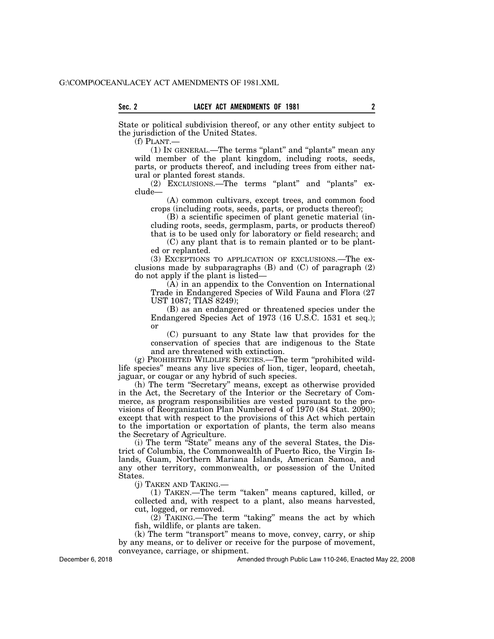State or political subdivision thereof, or any other entity subject to the jurisdiction of the United States.

(f) PLANT.—

(1) IN GENERAL.—The terms ''plant'' and ''plants'' mean any wild member of the plant kingdom, including roots, seeds, parts, or products thereof, and including trees from either natural or planted forest stands.

(2) EXCLUSIONS.—The terms ''plant'' and ''plants'' exclude—

(A) common cultivars, except trees, and common food crops (including roots, seeds, parts, or products thereof);

(B) a scientific specimen of plant genetic material (including roots, seeds, germplasm, parts, or products thereof) that is to be used only for laboratory or field research; and

(C) any plant that is to remain planted or to be planted or replanted.

(3) EXCEPTIONS TO APPLICATION OF EXCLUSIONS.—The exclusions made by subparagraphs (B) and (C) of paragraph (2) do not apply if the plant is listed—

 $(A)$  in an appendix to the Convention on International Trade in Endangered Species of Wild Fauna and Flora (27 UST 1087; TIAS 8249);

(B) as an endangered or threatened species under the Endangered Species Act of 1973 (16 U.S.C. 1531 et seq.); or

(C) pursuant to any State law that provides for the conservation of species that are indigenous to the State and are threatened with extinction.

(g) PROHIBITED WILDLIFE SPECIES.—The term ''prohibited wildlife species'' means any live species of lion, tiger, leopard, cheetah, jaguar, or cougar or any hybrid of such species.

(h) The term ''Secretary'' means, except as otherwise provided in the Act, the Secretary of the Interior or the Secretary of Commerce, as program responsibilities are vested pursuant to the provisions of Reorganization Plan Numbered 4 of 1970 (84 Stat. 2090); except that with respect to the provisions of this Act which pertain to the importation or exportation of plants, the term also means the Secretary of Agriculture.

(i) The term ''State'' means any of the several States, the District of Columbia, the Commonwealth of Puerto Rico, the Virgin Islands, Guam, Northern Mariana Islands, American Samoa, and any other territory, commonwealth, or possession of the United States.

(j) TAKEN AND TAKING.—

(1) TAKEN.—The term "taken" means captured, killed, or collected and, with respect to a plant, also means harvested, cut, logged, or removed.

(2) TAKING.—The term ''taking'' means the act by which fish, wildlife, or plants are taken.

(k) The term ''transport'' means to move, convey, carry, or ship by any means, or to deliver or receive for the purpose of movement, conveyance, carriage, or shipment.

December 6, 2018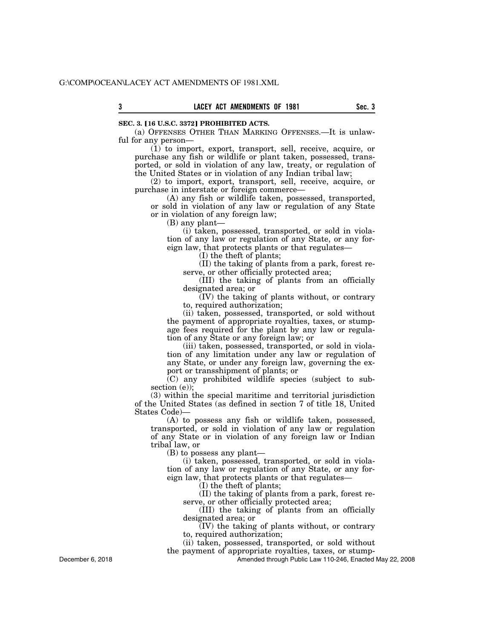## **SEC. 3. [16 U.S.C. 3372] PROHIBITED ACTS.**

(a) OFFENSES OTHER THAN MARKING OFFENSES.—It is unlawful for any person—

(1) to import, export, transport, sell, receive, acquire, or purchase any fish or wildlife or plant taken, possessed, transported, or sold in violation of any law, treaty, or regulation of the United States or in violation of any Indian tribal law;

(2) to import, export, transport, sell, receive, acquire, or purchase in interstate or foreign commerce—

(A) any fish or wildlife taken, possessed, transported, or sold in violation of any law or regulation of any State or in violation of any foreign law;

(B) any plant—

(i) taken, possessed, transported, or sold in violation of any law or regulation of any State, or any foreign law, that protects plants or that regulates—

(I) the theft of plants;

(II) the taking of plants from a park, forest reserve, or other officially protected area;

(III) the taking of plants from an officially designated area; or

(IV) the taking of plants without, or contrary to, required authorization;

(ii) taken, possessed, transported, or sold without the payment of appropriate royalties, taxes, or stumpage fees required for the plant by any law or regulation of any State or any foreign law; or

(iii) taken, possessed, transported, or sold in violation of any limitation under any law or regulation of any State, or under any foreign law, governing the export or transshipment of plants; or

 $(C)$  any prohibited wildlife species (subject to subsection (e));

(3) within the special maritime and territorial jurisdiction of the United States (as defined in section 7 of title 18, United States Code)—

(A) to possess any fish or wildlife taken, possessed, transported, or sold in violation of any law or regulation of any State or in violation of any foreign law or Indian tribal law, or

(B) to possess any plant—

(i) taken, possessed, transported, or sold in violation of any law or regulation of any State, or any foreign law, that protects plants or that regulates—

(I) the theft of plants;

(II) the taking of plants from a park, forest reserve, or other officially protected area;

(III) the taking of plants from an officially designated area; or

(IV) the taking of plants without, or contrary

to, required authorization;

(ii) taken, possessed, transported, or sold without

the payment of appropriate royalties, taxes, or stump-Amended through Public Law 110-246, Enacted May 22, 2008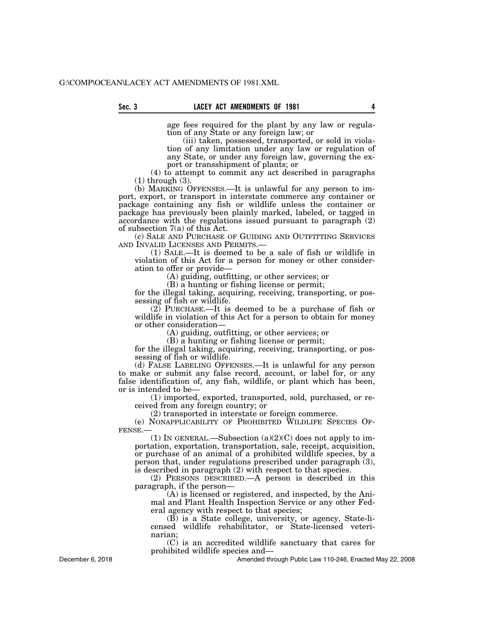age fees required for the plant by any law or regulation of any State or any foreign law; or

(iii) taken, possessed, transported, or sold in violation of any limitation under any law or regulation of any State, or under any foreign law, governing the export or transshipment of plants; or

(4) to attempt to commit any act described in paragraphs  $(1)$  through  $(3)$ .

(b) MARKING OFFENSES.—It is unlawful for any person to import, export, or transport in interstate commerce any container or package containing any fish or wildlife unless the container or package has previously been plainly marked, labeled, or tagged in accordance with the regulations issued pursuant to paragraph (2) of subsection 7(a) of this Act.

(c) SALE AND PURCHASE OF GUIDING AND OUTFITTING SERVICES AND INVALID LICENSES AND PERMITS.—

 $(1)$  SALE.—It is deemed to be a sale of fish or wildlife in violation of this Act for a person for money or other consideration to offer or provide—

(A) guiding, outfitting, or other services; or

(B) a hunting or fishing license or permit; for the illegal taking, acquiring, receiving, transporting, or possessing of fish or wildlife.

(2) PURCHASE.—It is deemed to be a purchase of fish or wildlife in violation of this Act for a person to obtain for money or other consideration—

(A) guiding, outfitting, or other services; or

(B) a hunting or fishing license or permit;

for the illegal taking, acquiring, receiving, transporting, or possessing of fish or wildlife.

(d) FALSE LABELING OFFENSES.—It is unlawful for any person to make or submit any false record, account, or label for, or any false identification of, any fish, wildlife, or plant which has been, or is intended to be—

(1) imported, exported, transported, sold, purchased, or received from any foreign country; or

(2) transported in interstate or foreign commerce.

(e) NONAPPLICABILITY OF PROHIBITED WILDLIFE SPECIES OF-FENSE.—

(1) IN GENERAL.—Subsection  $(a)(2)(C)$  does not apply to importation, exportation, transportation, sale, receipt, acquisition, or purchase of an animal of a prohibited wildlife species, by a person that, under regulations prescribed under paragraph (3), is described in paragraph (2) with respect to that species.

(2) PERSONS DESCRIBED.—A person is described in this paragraph, if the person—

(A) is licensed or registered, and inspected, by the Animal and Plant Health Inspection Service or any other Federal agency with respect to that species;

(B) is a State college, university, or agency, State-licensed wildlife rehabilitator, or State-licensed veterinarian;

(C) is an accredited wildlife sanctuary that cares for prohibited wildlife species and—

Amended through Public Law 110-246, Enacted May 22, 2008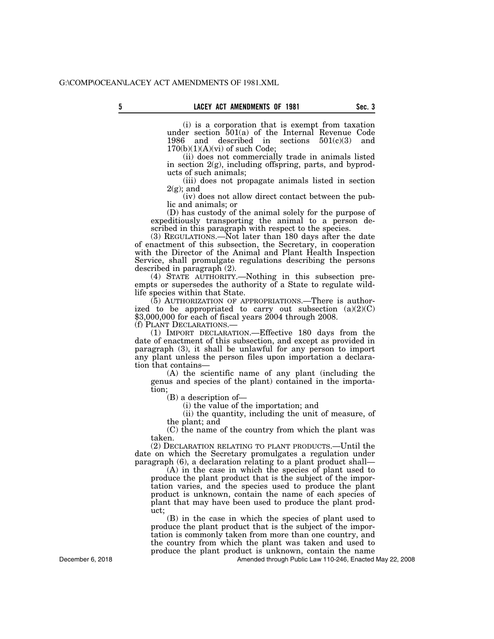(i) is a corporation that is exempt from taxation under section 501(a) of the Internal Revenue Code 1986 and described in sections 501(c)(3) and  $170(b)(1)(A)(vi)$  of such Code;

(ii) does not commercially trade in animals listed in section  $2(g)$ , including offspring, parts, and byproducts of such animals;

(iii) does not propagate animals listed in section  $2(g)$ ; and

(iv) does not allow direct contact between the public and animals; or

(D) has custody of the animal solely for the purpose of expeditiously transporting the animal to a person described in this paragraph with respect to the species.

 $(3)$  REGULATIONS.—Not later than 180 days after the date of enactment of this subsection, the Secretary, in cooperation with the Director of the Animal and Plant Health Inspection Service, shall promulgate regulations describing the persons described in paragraph (2).

(4) STATE AUTHORITY.—Nothing in this subsection preempts or supersedes the authority of a State to regulate wildlife species within that State.

(5) AUTHORIZATION OF APPROPRIATIONS.—There is authorized to be appropriated to carry out subsection  $(a)(2)(C)$ \$3,000,000 for each of fiscal years 2004 through 2008. (f) PLANT DECLARATIONS.—

(1) IMPORT DECLARATION.—Effective 180 days from the date of enactment of this subsection, and except as provided in paragraph (3), it shall be unlawful for any person to import any plant unless the person files upon importation a declaration that contains—

(A) the scientific name of any plant (including the genus and species of the plant) contained in the importation;

(B) a description of—

(i) the value of the importation; and

(ii) the quantity, including the unit of measure, of the plant; and

(C) the name of the country from which the plant was taken.

(2) DECLARATION RELATING TO PLANT PRODUCTS.—Until the date on which the Secretary promulgates a regulation under paragraph (6), a declaration relating to a plant product shall—

(A) in the case in which the species of plant used to produce the plant product that is the subject of the importation varies, and the species used to produce the plant product is unknown, contain the name of each species of plant that may have been used to produce the plant product;

(B) in the case in which the species of plant used to produce the plant product that is the subject of the importation is commonly taken from more than one country, and the country from which the plant was taken and used to produce the plant product is unknown, contain the name

Amended through Public Law 110-246, Enacted May 22, 2008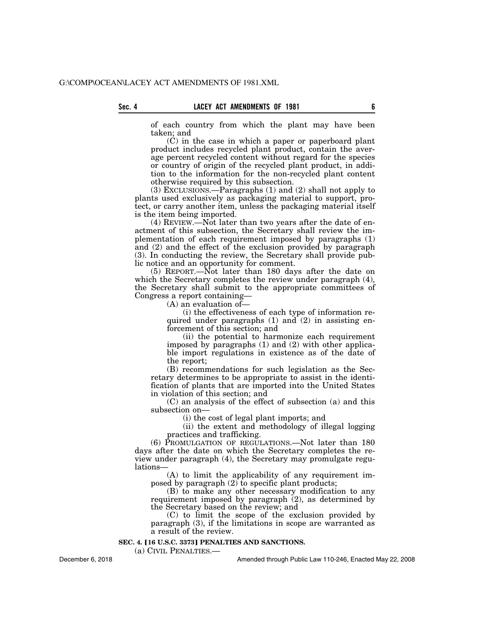of each country from which the plant may have been taken; and

(C) in the case in which a paper or paperboard plant product includes recycled plant product, contain the average percent recycled content without regard for the species or country of origin of the recycled plant product, in addition to the information for the non-recycled plant content otherwise required by this subsection.

(3) EXCLUSIONS.—Paragraphs (1) and (2) shall not apply to plants used exclusively as packaging material to support, protect, or carry another item, unless the packaging material itself is the item being imported.

(4) REVIEW.—Not later than two years after the date of enactment of this subsection, the Secretary shall review the implementation of each requirement imposed by paragraphs (1) and (2) and the effect of the exclusion provided by paragraph (3). In conducting the review, the Secretary shall provide public notice and an opportunity for comment.

 $(5)$  REPORT.— $\dot{\text{Not}}$  later than 180 days after the date on which the Secretary completes the review under paragraph (4), the Secretary shall submit to the appropriate committees of Congress a report containing—

(A) an evaluation of—

(i) the effectiveness of each type of information required under paragraphs  $(1)$  and  $(2)$  in assisting enforcement of this section; and

(ii) the potential to harmonize each requirement imposed by paragraphs (1) and (2) with other applicable import regulations in existence as of the date of the report;

(B) recommendations for such legislation as the Secretary determines to be appropriate to assist in the identification of plants that are imported into the United States in violation of this section; and

(C) an analysis of the effect of subsection (a) and this subsection on—

(i) the cost of legal plant imports; and

(ii) the extent and methodology of illegal logging practices and trafficking.

(6) PROMULGATION OF REGULATIONS.—Not later than 180 days after the date on which the Secretary completes the review under paragraph (4), the Secretary may promulgate regulations—

(A) to limit the applicability of any requirement imposed by paragraph  $(2)$  to specific plant products;

(B) to make any other necessary modification to any requirement imposed by paragraph (2), as determined by the Secretary based on the review; and

(C) to limit the scope of the exclusion provided by paragraph (3), if the limitations in scope are warranted as a result of the review.

## **SEC. 4. [16 U.S.C. 3373] PENALTIES AND SANCTIONS.**

(a) CIVIL PENALTIES.—

December 6, 2018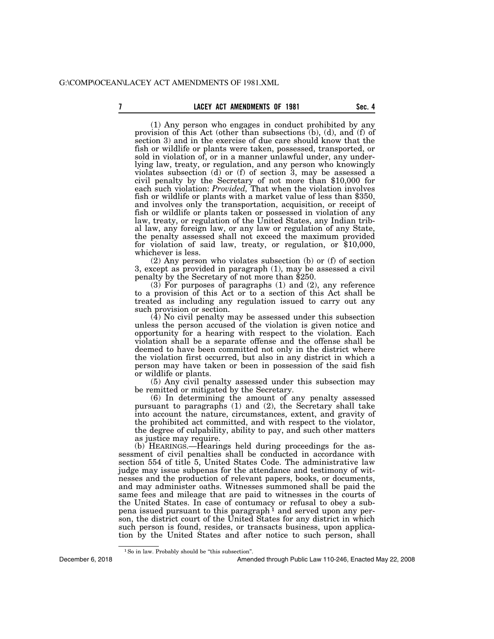# **7 CONSUMEDIATE: EXAMPLE EXAMPLE ACT AMENDMENTS OF 1981 Sec. 4**

(1) Any person who engages in conduct prohibited by any provision of this Act (other than subsections (b), (d), and (f) of section 3) and in the exercise of due care should know that the fish or wildlife or plants were taken, possessed, transported, or sold in violation of, or in a manner unlawful under, any underlying law, treaty, or regulation, and any person who knowingly violates subsection (d) or (f) of section 3, may be assessed a civil penalty by the Secretary of not more than \$10,000 for each such violation: *Provided,* That when the violation involves fish or wildlife or plants with a market value of less than \$350, and involves only the transportation, acquisition, or receipt of fish or wildlife or plants taken or possessed in violation of any law, treaty, or regulation of the United States, any Indian tribal law, any foreign law, or any law or regulation of any State, the penalty assessed shall not exceed the maximum provided for violation of said law, treaty, or regulation, or \$10,000, whichever is less.

(2) Any person who violates subsection (b) or (f) of section 3, except as provided in paragraph (1), may be assessed a civil penalty by the Secretary of not more than \$250.

(3) For purposes of paragraphs (1) and (2), any reference to a provision of this Act or to a section of this Act shall be treated as including any regulation issued to carry out any such provision or section.

(4) No civil penalty may be assessed under this subsection unless the person accused of the violation is given notice and opportunity for a hearing with respect to the violation. Each violation shall be a separate offense and the offense shall be deemed to have been committed not only in the district where the violation first occurred, but also in any district in which a person may have taken or been in possession of the said fish or wildlife or plants.

(5) Any civil penalty assessed under this subsection may be remitted or mitigated by the Secretary.

(6) In determining the amount of any penalty assessed pursuant to paragraphs (1) and (2), the Secretary shall take into account the nature, circumstances, extent, and gravity of the prohibited act committed, and with respect to the violator, the degree of culpability, ability to pay, and such other matters as justice may require.

(b) HEARINGS.—Hearings held during proceedings for the assessment of civil penalties shall be conducted in accordance with section 554 of title 5, United States Code. The administrative law judge may issue subpenas for the attendance and testimony of witnesses and the production of relevant papers, books, or documents, and may administer oaths. Witnesses summoned shall be paid the same fees and mileage that are paid to witnesses in the courts of the United States. In case of contumacy or refusal to obey a subpena issued pursuant to this paragraph<sup>1</sup> and served upon any person, the district court of the United States for any district in which such person is found, resides, or transacts business, upon application by the United States and after notice to such person, shall

<sup>1</sup>So in law. Probably should be ''this subsection''.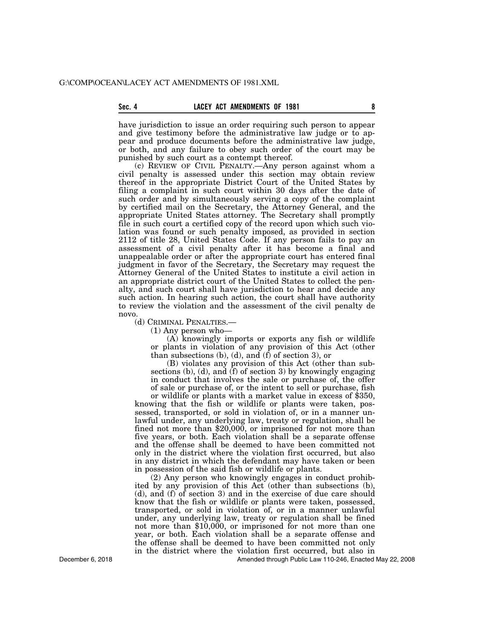have jurisdiction to issue an order requiring such person to appear and give testimony before the administrative law judge or to appear and produce documents before the administrative law judge, or both, and any failure to obey such order of the court may be punished by such court as a contempt thereof.

(c) REVIEW OF CIVIL PENALTY.—Any person against whom a civil penalty is assessed under this section may obtain review thereof in the appropriate District Court of the United States by filing a complaint in such court within 30 days after the date of such order and by simultaneously serving a copy of the complaint by certified mail on the Secretary, the Attorney General, and the appropriate United States attorney. The Secretary shall promptly file in such court a certified copy of the record upon which such violation was found or such penalty imposed, as provided in section 2112 of title 28, United States Code. If any person fails to pay an assessment of a civil penalty after it has become a final and unappealable order or after the appropriate court has entered final judgment in favor of the Secretary, the Secretary may request the Attorney General of the United States to institute a civil action in an appropriate district court of the United States to collect the penalty, and such court shall have jurisdiction to hear and decide any such action. In hearing such action, the court shall have authority to review the violation and the assessment of the civil penalty de novo.

(d) CRIMINAL PENALTIES.—

(1) Any person who—

(A) knowingly imports or exports any fish or wildlife or plants in violation of any provision of this Act (other than subsections (b), (d), and  $(f)$  of section 3), or

(B) violates any provision of this Act (other than subsections (b), (d), and (f) of section 3) by knowingly engaging in conduct that involves the sale or purchase of, the offer of sale or purchase of, or the intent to sell or purchase, fish

or wildlife or plants with a market value in excess of \$350, knowing that the fish or wildlife or plants were taken, possessed, transported, or sold in violation of, or in a manner unlawful under, any underlying law, treaty or regulation, shall be fined not more than \$20,000, or imprisoned for not more than five years, or both. Each violation shall be a separate offense and the offense shall be deemed to have been committed not only in the district where the violation first occurred, but also in any district in which the defendant may have taken or been in possession of the said fish or wildlife or plants.

(2) Any person who knowingly engages in conduct prohibited by any provision of this Act (other than subsections (b), (d), and (f) of section 3) and in the exercise of due care should know that the fish or wildlife or plants were taken, possessed, transported, or sold in violation of, or in a manner unlawful under, any underlying law, treaty or regulation shall be fined not more than \$10,000, or imprisoned for not more than one year, or both. Each violation shall be a separate offense and the offense shall be deemed to have been committed not only in the district where the violation first occurred, but also in

Amended through Public Law 110-246, Enacted May 22, 2008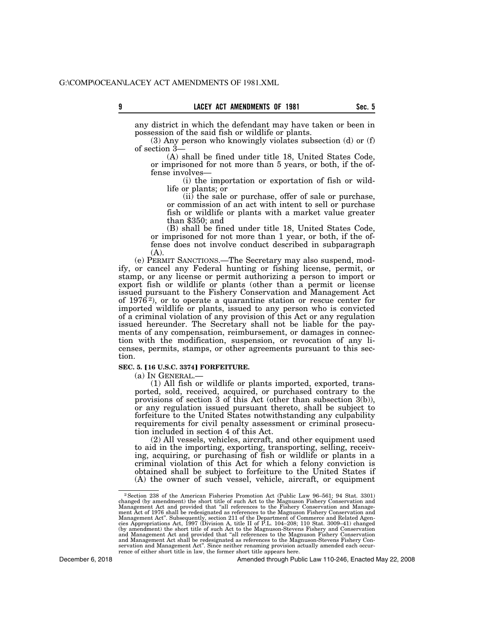any district in which the defendant may have taken or been in possession of the said fish or wildlife or plants.

(3) Any person who knowingly violates subsection (d) or (f) of section 3—

(A) shall be fined under title 18, United States Code, or imprisoned for not more than 5 years, or both, if the offense involves—

(i) the importation or exportation of fish or wildlife or plants; or

(ii) the sale or purchase, offer of sale or purchase, or commission of an act with intent to sell or purchase fish or wildlife or plants with a market value greater than \$350; and

(B) shall be fined under title 18, United States Code, or imprisoned for not more than 1 year, or both, if the offense does not involve conduct described in subparagraph (A).

(e) PERMIT SANCTIONS.—The Secretary may also suspend, modify, or cancel any Federal hunting or fishing license, permit, or stamp, or any license or permit authorizing a person to import or export fish or wildlife or plants (other than a permit or license issued pursuant to the Fishery Conservation and Management Act of  $1976<sup>2</sup>$ ), or to operate a quarantine station or rescue center for imported wildlife or plants, issued to any person who is convicted of a criminal violation of any provision of this Act or any regulation issued hereunder. The Secretary shall not be liable for the payments of any compensation, reimbursement, or damages in connection with the modification, suspension, or revocation of any licenses, permits, stamps, or other agreements pursuant to this section.

# **SEC. 5. [16 U.S.C. 3374] FORFEITURE.**

(a) IN GENERAL.— (1) All fish or wildlife or plants imported, exported, transported, sold, received, acquired, or purchased contrary to the provisions of section 3 of this Act (other than subsection 3(b)), or any regulation issued pursuant thereto, shall be subject to forfeiture to the United States notwithstanding any culpability requirements for civil penalty assessment or criminal prosecution included in section 4 of this Act.

(2) All vessels, vehicles, aircraft, and other equipment used to aid in the importing, exporting, transporting, selling, receiving, acquiring, or purchasing of fish or wildlife or plants in a criminal violation of this Act for which a felony conviction is obtained shall be subject to forfeiture to the United States if (A) the owner of such vessel, vehicle, aircraft, or equipment

December 6, 2018

<sup>&</sup>lt;sup>2</sup> Section 238 of the American Fisheries Promotion Act (Public Law 96–561; 94 Stat. 3301) changed (by amendment) the short title of such Act to the Magnuson Fishery Conservation and Management Act and provided that "all cies Appropriations Act, 1997 (Division A, title II of P.L. 104–208; 110 Stat. 3009–41) changed (by amendment) the short title of such Act to the Magnuson-Stevens Fishery and Conservation<br>and Management Act and provided that "all references to the Magnuson Fishery Conservation<br>and Management Act shall be redesignated rence of either short title in law, the former short title appears here.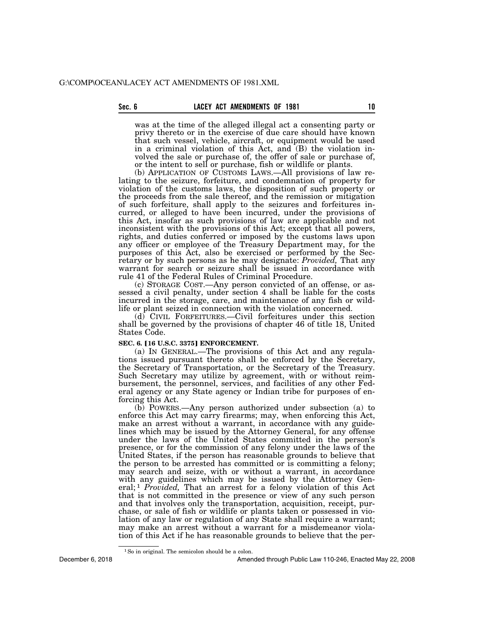was at the time of the alleged illegal act a consenting party or privy thereto or in the exercise of due care should have known that such vessel, vehicle, aircraft, or equipment would be used in a criminal violation of this Act, and (B) the violation involved the sale or purchase of, the offer of sale or purchase of, or the intent to sell or purchase, fish or wildlife or plants.

(b) APPLICATION OF CUSTOMS LAWS.—All provisions of law relating to the seizure, forfeiture, and condemnation of property for violation of the customs laws, the disposition of such property or the proceeds from the sale thereof, and the remission or mitigation of such forfeiture, shall apply to the seizures and forfeitures incurred, or alleged to have been incurred, under the provisions of this Act, insofar as such provisions of law are applicable and not inconsistent with the provisions of this Act; except that all powers, rights, and duties conferred or imposed by the customs laws upon any officer or employee of the Treasury Department may, for the purposes of this Act, also be exercised or performed by the Secretary or by such persons as he may designate: *Provided,* That any warrant for search or seizure shall be issued in accordance with rule 41 of the Federal Rules of Criminal Procedure.

(c) STORAGE COST.—Any person convicted of an offense, or assessed a civil penalty, under section 4 shall be liable for the costs incurred in the storage, care, and maintenance of any fish or wildlife or plant seized in connection with the violation concerned.

(d) CIVIL FORFEITURES.—Civil forfeitures under this section shall be governed by the provisions of chapter 46 of title 18, United States Code.

#### **SEC. 6. [16 U.S.C. 3375] ENFORCEMENT.**

(a) IN GENERAL.—The provisions of this Act and any regulations issued pursuant thereto shall be enforced by the Secretary, the Secretary of Transportation, or the Secretary of the Treasury. Such Secretary may utilize by agreement, with or without reimbursement, the personnel, services, and facilities of any other Federal agency or any State agency or Indian tribe for purposes of enforcing this Act.

(b) POWERS.—Any person authorized under subsection (a) to enforce this Act may carry firearms; may, when enforcing this Act, make an arrest without a warrant, in accordance with any guidelines which may be issued by the Attorney General, for any offense under the laws of the United States committed in the person's presence, or for the commission of any felony under the laws of the United States, if the person has reasonable grounds to believe that the person to be arrested has committed or is committing a felony; may search and seize, with or without a warrant, in accordance with any guidelines which may be issued by the Attorney General; 1 *Provided,* That an arrest for a felony violation of this Act that is not committed in the presence or view of any such person and that involves only the transportation, acquisition, receipt, purchase, or sale of fish or wildlife or plants taken or possessed in violation of any law or regulation of any State shall require a warrant; may make an arrest without a warrant for a misdemeanor violation of this Act if he has reasonable grounds to believe that the per-

<sup>1</sup>So in original. The semicolon should be a colon.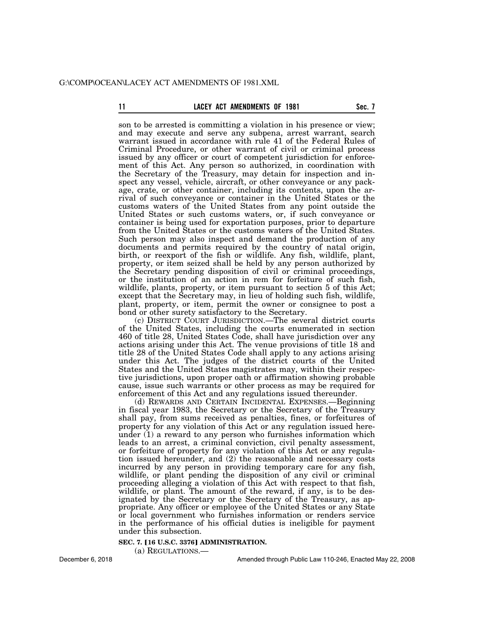## **11 LACEY ACT AMENDMENTS OF 1981 Sec. 7**

son to be arrested is committing a violation in his presence or view; and may execute and serve any subpena, arrest warrant, search warrant issued in accordance with rule 41 of the Federal Rules of Criminal Procedure, or other warrant of civil or criminal process issued by any officer or court of competent jurisdiction for enforcement of this Act. Any person so authorized, in coordination with the Secretary of the Treasury, may detain for inspection and inspect any vessel, vehicle, aircraft, or other conveyance or any package, crate, or other container, including its contents, upon the arrival of such conveyance or container in the United States or the customs waters of the United States from any point outside the United States or such customs waters, or, if such conveyance or container is being used for exportation purposes, prior to departure from the United States or the customs waters of the United States. Such person may also inspect and demand the production of any documents and permits required by the country of natal origin, birth, or reexport of the fish or wildlife. Any fish, wildlife, plant, property, or item seized shall be held by any person authorized by the Secretary pending disposition of civil or criminal proceedings, or the institution of an action in rem for forfeiture of such fish, wildlife, plants, property, or item pursuant to section 5 of this Act; except that the Secretary may, in lieu of holding such fish, wildlife, plant, property, or item, permit the owner or consignee to post a bond or other surety satisfactory to the Secretary.

(c) DISTRICT COURT JURISDICTION.—The several district courts of the United States, including the courts enumerated in section 460 of title 28, United States Code, shall have jurisdiction over any actions arising under this Act. The venue provisions of title 18 and title 28 of the United States Code shall apply to any actions arising under this Act. The judges of the district courts of the United States and the United States magistrates may, within their respective jurisdictions, upon proper oath or affirmation showing probable cause, issue such warrants or other process as may be required for enforcement of this Act and any regulations issued thereunder.

(d) REWARDS AND CERTAIN INCIDENTAL EXPENSES.—Beginning in fiscal year 1983, the Secretary or the Secretary of the Treasury shall pay, from sums received as penalties, fines, or forfeitures of property for any violation of this Act or any regulation issued hereunder (1) a reward to any person who furnishes information which leads to an arrest, a criminal conviction, civil penalty assessment, or forfeiture of property for any violation of this Act or any regulation issued hereunder, and (2) the reasonable and necessary costs incurred by any person in providing temporary care for any fish, wildlife, or plant pending the disposition of any civil or criminal proceeding alleging a violation of this Act with respect to that fish, wildlife, or plant. The amount of the reward, if any, is to be designated by the Secretary or the Secretary of the Treasury, as appropriate. Any officer or employee of the United States or any State or local government who furnishes information or renders service in the performance of his official duties is ineligible for payment under this subsection.

#### **SEC. 7. [16 U.S.C. 3376] ADMINISTRATION.**

(a) REGULATIONS.—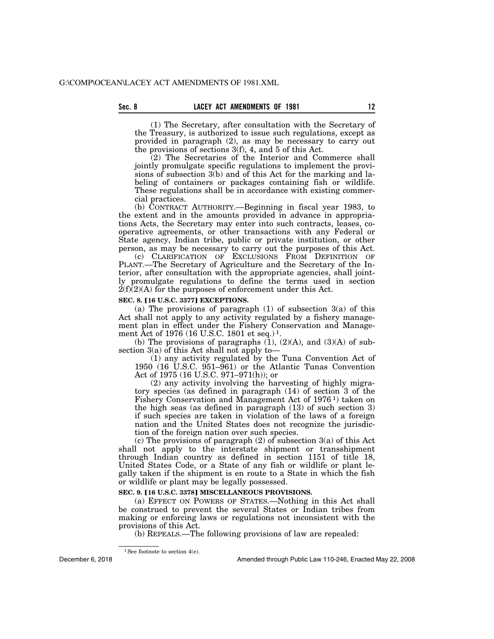(1) The Secretary, after consultation with the Secretary of the Treasury, is authorized to issue such regulations, except as provided in paragraph (2), as may be necessary to carry out the provisions of sections  $3(f)$ , 4, and 5 of this Act.

(2) The Secretaries of the Interior and Commerce shall jointly promulgate specific regulations to implement the provisions of subsection 3(b) and of this Act for the marking and labeling of containers or packages containing fish or wildlife. These regulations shall be in accordance with existing commercial practices.

(b) CONTRACT AUTHORITY.—Beginning in fiscal year 1983, to the extent and in the amounts provided in advance in appropriations Acts, the Secretary may enter into such contracts, leases, cooperative agreements, or other transactions with any Federal or State agency, Indian tribe, public or private institution, or other person, as may be necessary to carry out the purposes of this Act.

(c) CLARIFICATION OF EXCLUSIONS FROM DEFINITION OF PLANT.—The Secretary of Agriculture and the Secretary of the Interior, after consultation with the appropriate agencies, shall jointly promulgate regulations to define the terms used in section  $2(f)(2)(A)$  for the purposes of enforcement under this Act.

#### **SEC. 8. [16 U.S.C. 3377] EXCEPTIONS.**

(a) The provisions of paragraph  $(1)$  of subsection  $3(a)$  of this Act shall not apply to any activity regulated by a fishery management plan in effect under the Fishery Conservation and Management Act of 1976 (16 U.S.C. 1801 et seq.) 1.

(b) The provisions of paragraphs  $(1)$ ,  $(2)(A)$ , and  $(3)(A)$  of subsection 3(a) of this Act shall not apply to—

(1) any activity regulated by the Tuna Convention Act of 1950 (16 U.S.C. 951–961) or the Atlantic Tunas Convention Act of 1975 (16 U.S.C. 971–971(h)); or

(2) any activity involving the harvesting of highly migratory species (as defined in paragraph (14) of section 3 of the Fishery Conservation and Management Act of 1976 1) taken on the high seas (as defined in paragraph (13) of such section 3) if such species are taken in violation of the laws of a foreign nation and the United States does not recognize the jurisdiction of the foreign nation over such species.

(c) The provisions of paragraph (2) of subsection 3(a) of this Act shall not apply to the interstate shipment or transshipment through Indian country as defined in section 1151 of title 18, United States Code, or a State of any fish or wildlife or plant legally taken if the shipment is en route to a State in which the fish or wildlife or plant may be legally possessed.

## **SEC. 9. [16 U.S.C. 3378] MISCELLANEOUS PROVISIONS.**

(a) EFFECT ON POWERS OF STATES.—Nothing in this Act shall be construed to prevent the several States or Indian tribes from making or enforcing laws or regulations not inconsistent with the provisions of this Act.

(b) REPEALS.—The following provisions of law are repealed:

<sup>&</sup>lt;sup>1</sup>See footnote to section 4(e).